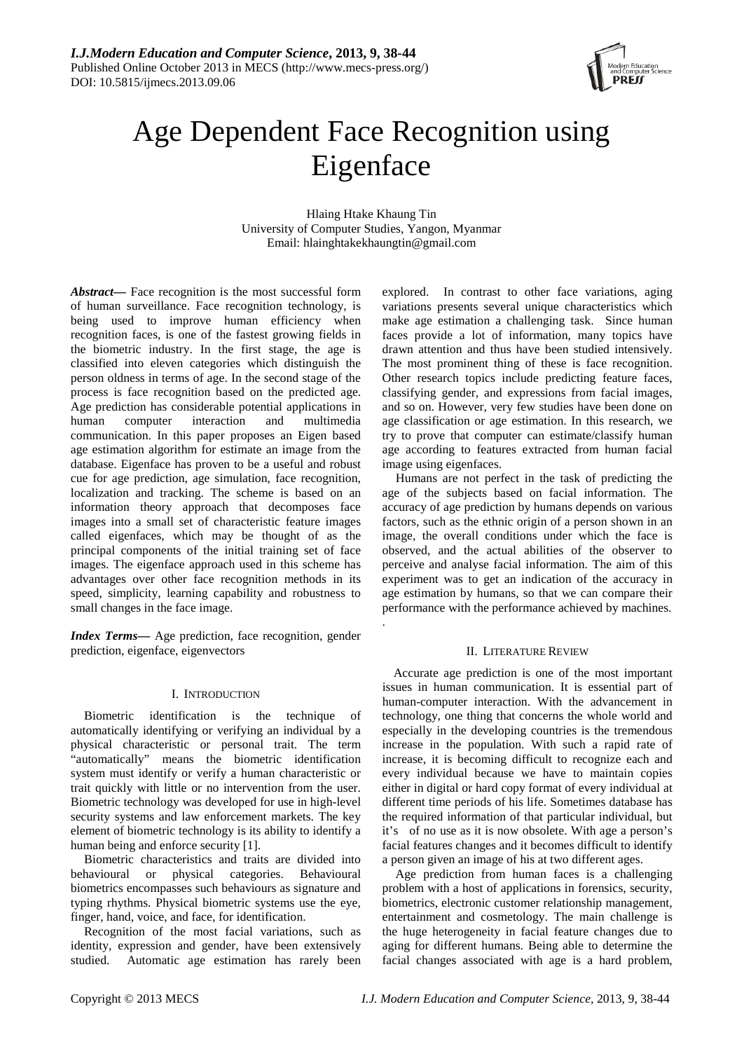

# Age Dependent Face Recognition using Eigenface

Hlaing Htake Khaung Tin University of Computer Studies, Yangon, Myanmar Email: hlainghtakekhaungtin@gmail.com

.

*Abstract***—** Face recognition is the most successful form of human surveillance. Face recognition technology, is being used to improve human efficiency when recognition faces, is one of the fastest growing fields in the biometric industry. In the first stage, the age is classified into eleven categories which distinguish the person oldness in terms of age. In the second stage of the process is face recognition based on the predicted age. Age prediction has considerable potential applications in human computer interaction and multimedia communication. In this paper proposes an Eigen based age estimation algorithm for estimate an image from the database. Eigenface has proven to be a useful and robust cue for age prediction, age simulation, face recognition, localization and tracking. The scheme is based on an information theory approach that decomposes face images into a small set of characteristic feature images called eigenfaces, which may be thought of as the principal components of the initial training set of face images. The eigenface approach used in this scheme has advantages over other face recognition methods in its speed, simplicity, learning capability and robustness to small changes in the face image.

*Index Terms***—** Age prediction, face recognition, gender prediction, eigenface, eigenvectors

# I. INTRODUCTION

Biometric identification is the technique of automatically identifying or verifying an individual by a physical characteristic or personal trait. The term "automatically" means the biometric identification system must identify or verify a human characteristic or trait quickly with little or no intervention from the user. Biometric technology was developed for use in high-level security systems and law enforcement markets. The key element of biometric technology is its ability to identify a human being and enforce security [1].

Biometric characteristics and traits are divided into behavioural or physical categories. Behavioural biometrics encompasses such behaviours as signature and typing rhythms. Physical biometric systems use the eye, finger, hand, voice, and face, for identification.

Recognition of the most facial variations, such as identity, expression and gender, have been extensively studied. Automatic age estimation has rarely been explored. In contrast to other face variations, aging variations presents several unique characteristics which make age estimation a challenging task. Since human faces provide a lot of information, many topics have drawn attention and thus have been studied intensively. The most prominent thing of these is face recognition. Other research topics include predicting feature faces, classifying gender, and expressions from facial images, and so on. However, very few studies have been done on age classification or age estimation. In this research, we try to prove that computer can estimate/classify human age according to features extracted from human facial image using eigenfaces.

Humans are not perfect in the task of predicting the age of the subjects based on facial information. The accuracy of age prediction by humans depends on various factors, such as the ethnic origin of a person shown in an image, the overall conditions under which the face is observed, and the actual abilities of the observer to perceive and analyse facial information. The aim of this experiment was to get an indication of the accuracy in age estimation by humans, so that we can compare their performance with the performance achieved by machines.

# II. LITERATURE REVIEW

Accurate age prediction is one of the most important issues in human communication. It is essential part of human-computer interaction. With the advancement in technology, one thing that concerns the whole world and especially in the developing countries is the tremendous increase in the population. With such a rapid rate of increase, it is becoming difficult to recognize each and every individual because we have to maintain copies either in digital or hard copy format of every individual at different time periods of his life. Sometimes database has the required information of that particular individual, but it's of no use as it is now obsolete. With age a person's facial features changes and it becomes difficult to identify a person given an image of his at two different ages.

Age prediction from human faces is a challenging problem with a host of applications in forensics, security, biometrics, electronic customer relationship management, entertainment and cosmetology. The main challenge is the huge heterogeneity in facial feature changes due to aging for different humans. Being able to determine the facial changes associated with age is a hard problem,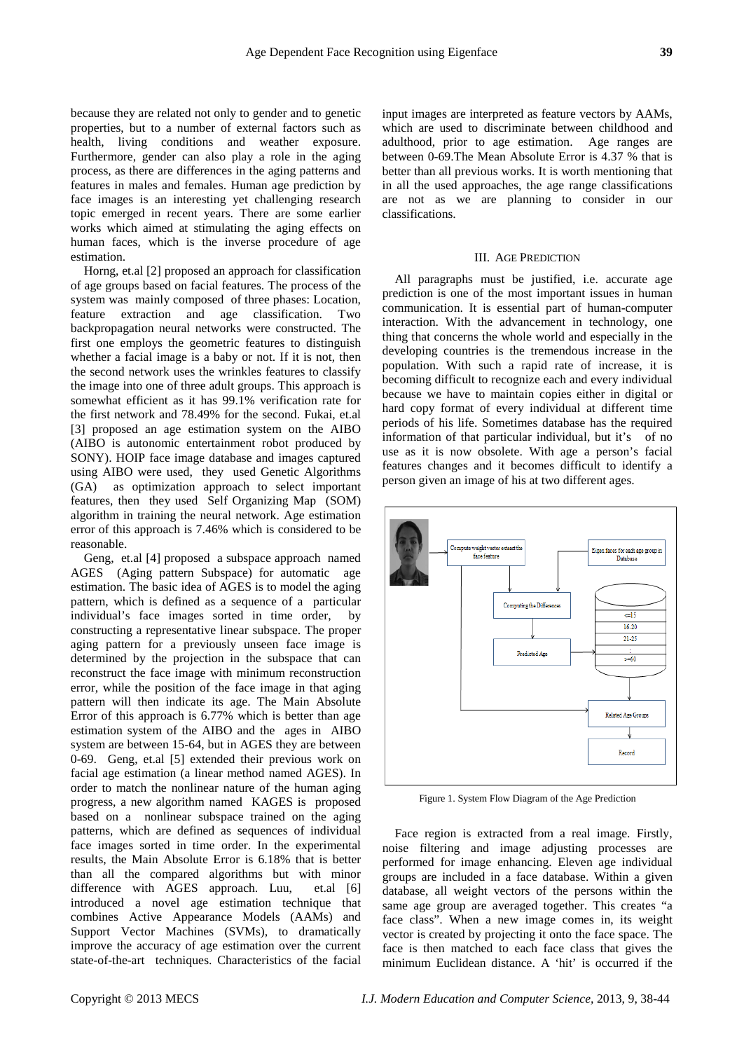because they are related not only to gender and to genetic properties, but to a number of external factors such as health, living conditions and weather exposure. Furthermore, gender can also play a role in the aging process, as there are differences in the aging patterns and features in males and females. Human age prediction by face images is an interesting yet challenging research topic emerged in recent years. There are some earlier works which aimed at stimulating the aging effects on human faces, which is the inverse procedure of age estimation.

Horng, et.al [2] proposed an approach for classification of age groups based on facial features. The process of the system was mainly composed of three phases: Location, feature extraction and age classification. Two backpropagation neural networks were constructed. The first one employs the geometric features to distinguish whether a facial image is a baby or not. If it is not, then the second network uses the wrinkles features to classify the image into one of three adult groups. This approach is somewhat efficient as it has 99.1% verification rate for the first network and 78.49% for the second. Fukai, et.al [3] proposed an age estimation system on the AIBO (AIBO is autonomic entertainment robot produced by SONY). HOIP face image database and images captured using AIBO were used, they used Genetic Algorithms (GA) as optimization approach to select important features, then they used Self Organizing Map (SOM) algorithm in training the neural network. Age estimation error of this approach is 7.46% which is considered to be reasonable.

Geng, et.al [4] proposed a subspace approach named AGES (Aging pattern Subspace) for automatic age estimation. The basic idea of AGES is to model the aging pattern, which is defined as a sequence of a particular individual's face images sorted in time order, by constructing a representative linear subspace. The proper aging pattern for a previously unseen face image is determined by the projection in the subspace that can reconstruct the face image with minimum reconstruction error, while the position of the face image in that aging pattern will then indicate its age. The Main Absolute Error of this approach is 6.77% which is better than age estimation system of the AIBO and the ages in AIBO system are between 15-64, but in AGES they are between 0-69. Geng, et.al [5] extended their previous work on facial age estimation (a linear method named AGES). In order to match the nonlinear nature of the human aging progress, a new algorithm named KAGES is proposed based on a nonlinear subspace trained on the aging patterns, which are defined as sequences of individual face images sorted in time order. In the experimental results, the Main Absolute Error is 6.18% that is better than all the compared algorithms but with minor difference with AGES approach. Luu, et.al [6] introduced a novel age estimation technique that combines Active Appearance Models (AAMs) and Support Vector Machines (SVMs), to dramatically improve the accuracy of age estimation over the current state-of-the-art techniques. Characteristics of the facial

input images are interpreted as feature vectors by AAMs, which are used to discriminate between childhood and adulthood, prior to age estimation. Age ranges are between 0-69.The Mean Absolute Error is 4.37 % that is better than all previous works. It is worth mentioning that in all the used approaches, the age range classifications are not as we are planning to consider in our classifications.

## III. AGE PREDICTION

All paragraphs must be justified, i.e. accurate age prediction is one of the most important issues in human communication. It is essential part of human-computer interaction. With the advancement in technology, one thing that concerns the whole world and especially in the developing countries is the tremendous increase in the population. With such a rapid rate of increase, it is becoming difficult to recognize each and every individual because we have to maintain copies either in digital or hard copy format of every individual at different time periods of his life. Sometimes database has the required information of that particular individual, but it's of no use as it is now obsolete. With age a person's facial features changes and it becomes difficult to identify a person given an image of his at two different ages.



Figure 1. System Flow Diagram of the Age Prediction

Face region is extracted from a real image. Firstly, noise filtering and image adjusting processes are performed for image enhancing. Eleven age individual groups are included in a face database. Within a given database, all weight vectors of the persons within the same age group are averaged together. This creates "a face class". When a new image comes in, its weight vector is created by projecting it onto the face space. The face is then matched to each face class that gives the minimum Euclidean distance. A 'hit' is occurred if the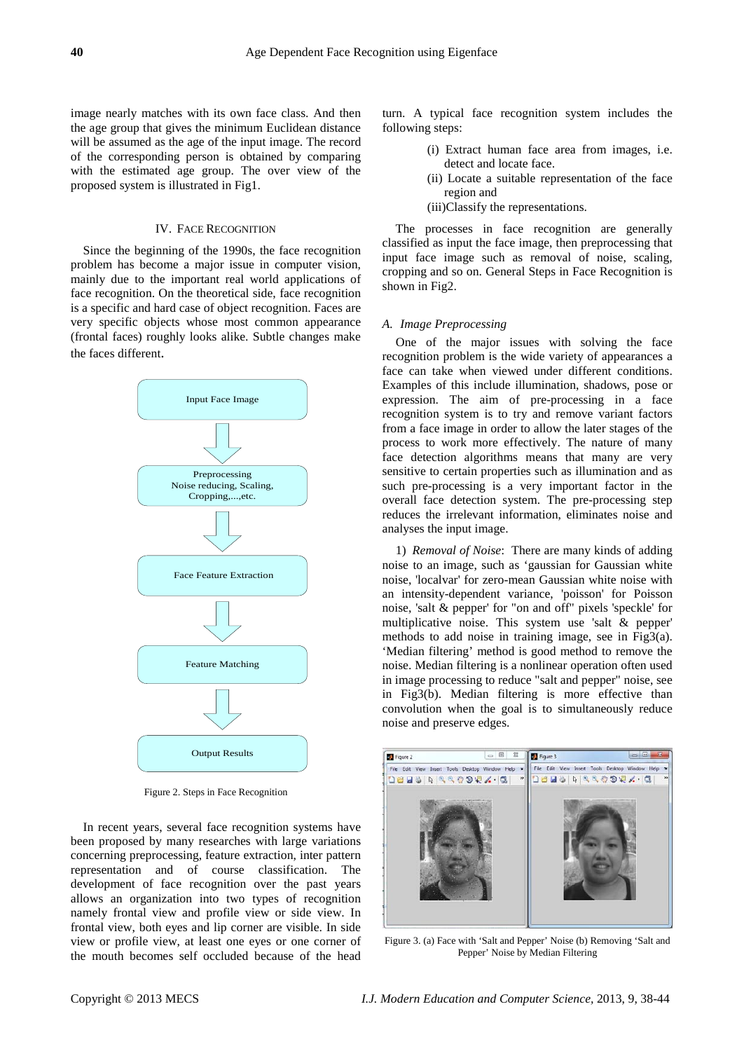image nearly matches with its own face class. And then the age group that gives the minimum Euclidean distance will be assumed as the age of the input image. The record of the corresponding person is obtained by comparing with the estimated age group. The over view of the proposed system is illustrated in Fig1.

# IV. FACE RECOGNITION

Since the beginning of the 1990s, the face recognition problem has become a major issue in computer vision, mainly due to the important real world applications of face recognition. On the theoretical side, face recognition is a specific and hard case of object recognition. Faces are very specific objects whose most common appearance (frontal faces) roughly looks alike. Subtle changes make the faces different.



Figure 2. Steps in Face Recognition

In recent years, several face recognition systems have been proposed by many researches with large variations concerning preprocessing, feature extraction, inter pattern representation and of course classification. The development of face recognition over the past years allows an organization into two types of recognition namely frontal view and profile view or side view. In frontal view, both eyes and lip corner are visible. In side view or profile view, at least one eyes or one corner of the mouth becomes self occluded because of the head turn. A typical face recognition system includes the following steps:

- (i) Extract human face area from images, i.e. detect and locate face.
- (ii) Locate a suitable representation of the face region and
- (iii)Classify the representations.

The processes in face recognition are generally classified as input the face image, then preprocessing that input face image such as removal of noise, scaling, cropping and so on. General Steps in Face Recognition is shown in Fig2.

#### *A. Image Preprocessing*

One of the major issues with solving the face recognition problem is the wide variety of appearances a face can take when viewed under different conditions. Examples of this include illumination, shadows, pose or expression. The aim of pre-processing in a face recognition system is to try and remove variant factors from a face image in order to allow the later stages of the process to work more effectively. The nature of many face detection algorithms means that many are very sensitive to certain properties such as illumination and as such pre-processing is a very important factor in the overall face detection system. The pre-processing step reduces the irrelevant information, eliminates noise and analyses the input image.

1) *Removal of Noise*: There are many kinds of adding noise to an image, such as 'gaussian for Gaussian white noise, 'localvar' for zero-mean Gaussian white noise with an intensity-dependent variance, 'poisson' for Poisson noise, 'salt & pepper' for "on and off" pixels 'speckle' for multiplicative noise. This system use 'salt & pepper' methods to add noise in training image, see in Fig3(a). 'Median filtering' method is good method to remove the noise. Median filtering is a nonlinear operation often used in image processing to reduce "salt and pepper" noise, see in Fig3(b). Median filtering is more effective than convolution when the goal is to simultaneously reduce noise and preserve edges.



Figure 3. (a) Face with 'Salt and Pepper' Noise (b) Removing 'Salt and Pepper' Noise by Median Filtering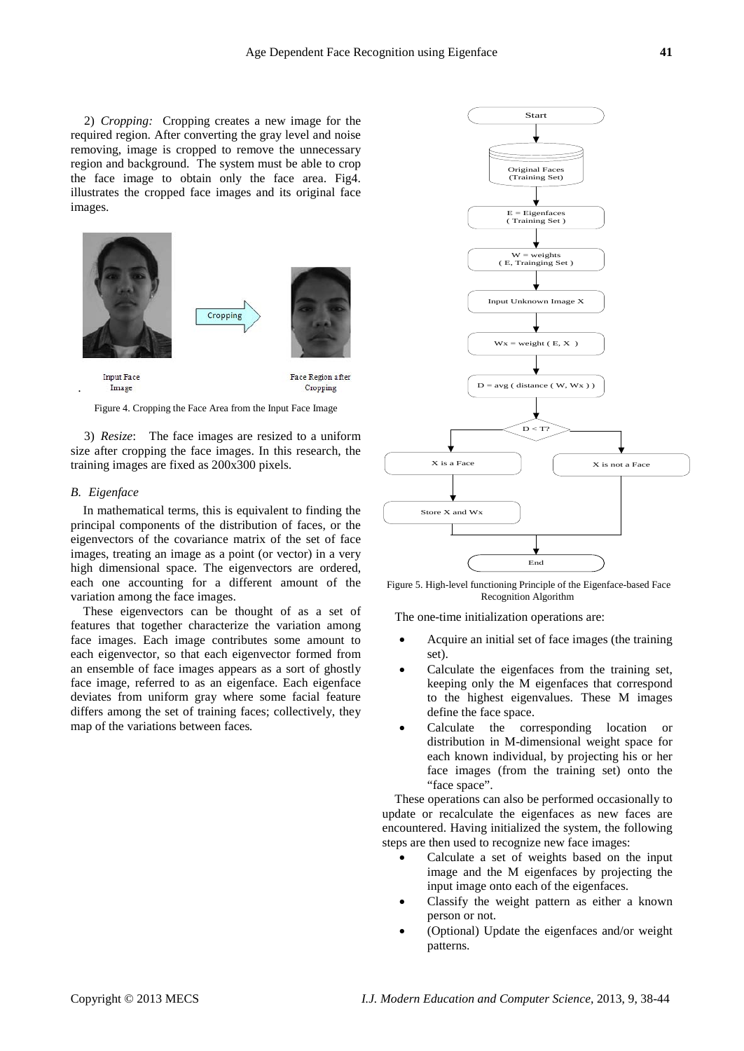2) *Cropping:* Cropping creates a new image for the required region. After converting the gray level and noise removing, image is cropped to remove the unnecessary region and background. The system must be able to crop the face image to obtain only the face area. Fig4. illustrates the cropped face images and its original face images.



Figure 4. Cropping the Face Area from the Input Face Image

3) *Resize*: The face images are resized to a uniform size after cropping the face images. In this research, the training images are fixed as 200x300 pixels.

#### *B. Eigenface*

In mathematical terms, this is equivalent to finding the principal components of the distribution of faces, or the eigenvectors of the covariance matrix of the set of face images, treating an image as a point (or vector) in a very high dimensional space. The eigenvectors are ordered, each one accounting for a different amount of the variation among the face images.

These eigenvectors can be thought of as a set of features that together characterize the variation among face images. Each image contributes some amount to each eigenvector, so that each eigenvector formed from an ensemble of face images appears as a sort of ghostly face image, referred to as an eigenface. Each eigenface deviates from uniform gray where some facial feature differs among the set of training faces; collectively, they map of the variations between faces*.*



Figure 5. High-level functioning Principle of the Eigenface-based Face Recognition Algorithm

The one-time initialization operations are:

- Acquire an initial set of face images (the training set).
- Calculate the eigenfaces from the training set, keeping only the M eigenfaces that correspond to the highest eigenvalues. These M images define the face space.
- Calculate the corresponding location or distribution in M-dimensional weight space for each known individual, by projecting his or her face images (from the training set) onto the "face space".

These operations can also be performed occasionally to update or recalculate the eigenfaces as new faces are encountered. Having initialized the system, the following steps are then used to recognize new face images:

- Calculate a set of weights based on the input image and the M eigenfaces by projecting the input image onto each of the eigenfaces.
- Classify the weight pattern as either a known person or not.
- (Optional) Update the eigenfaces and/or weight patterns.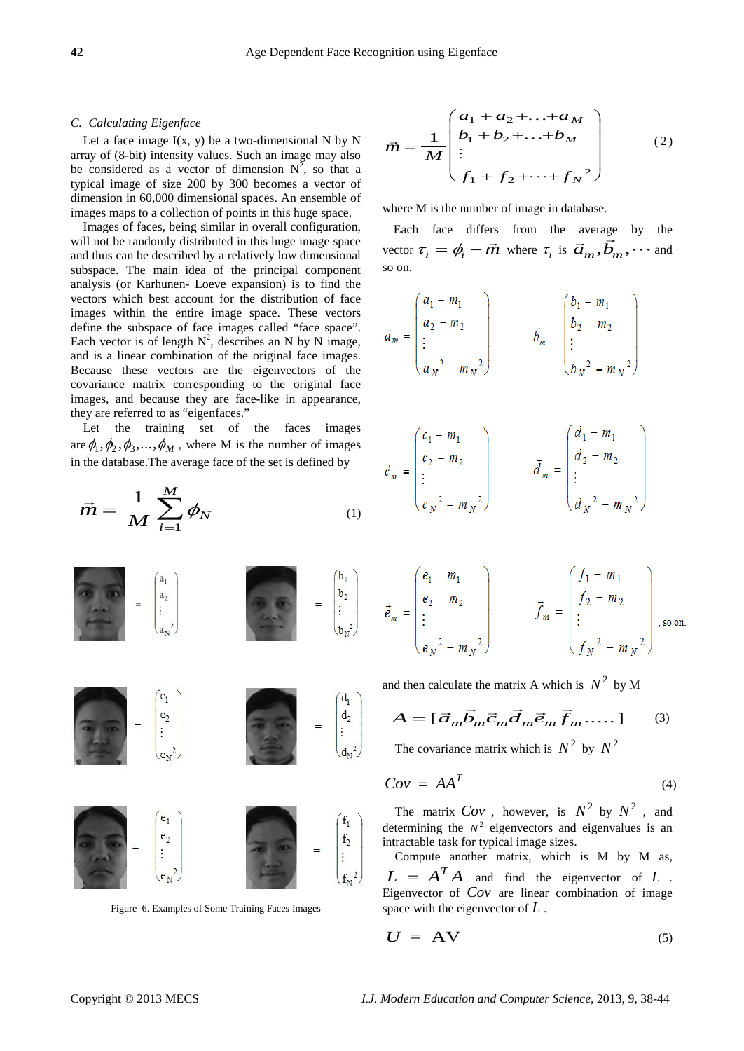# *C. Calculating Eigenface*

Let a face image  $I(x, y)$  be a two-dimensional N by N array of (8-bit) intensity values. Such an image may also be considered as a vector of dimension  $N^2$ , so that a typical image of size 200 by 300 becomes a vector of dimension in 60,000 dimensional spaces. An ensemble of images maps to a collection of points in this huge space.

Images of faces, being similar in overall configuration, will not be randomly distributed in this huge image space and thus can be described by a relatively low dimensional subspace. The main idea of the principal component analysis (or Karhunen- Loeve expansion) is to find the vectors which best account for the distribution of face images within the entire image space. These vectors define the subspace of face images called "face space". Each vector is of length  $N^2$ , describes an N by N image, and is a linear combination of the original face images. Because these vectors are the eigenvectors of the covariance matrix corresponding to the original face images, and because they are face-like in appearance, they are referred to as "eigenfaces."

Let the training set of the faces images are  $\phi_1, \phi_2, \phi_3, \ldots, \phi_M$ , where M is the number of images in the database.The average face of the set is defined by

$$
\vec{m} = \frac{1}{M} \sum_{i=1}^{M} \phi_N \tag{1}
$$





Figure 6. Examples of Some Training Faces Images

$$
\vec{m} = \frac{1}{M} \begin{pmatrix} a_1 + a_2 + \dots + a_M \\ b_1 + b_2 + \dots + b_M \\ \vdots \\ f_1 + f_2 + \dots + f_N \end{pmatrix}
$$
 (2)

where M is the number of image in database.

Each face differs from the average by the Each face differs from the average by the vector  $\tau_i = \phi_i - \vec{m}$  where  $\tau_i$  is  $\vec{a}_m, \vec{b}_m, \dots$  and so on.

$$
\vec{a}_m = \begin{pmatrix} a_1 - m_1 \\ a_2 - m_2 \\ \vdots \\ a_N^2 - m_N^2 \end{pmatrix} \qquad \qquad \vec{b}_m = \begin{pmatrix} b_1 - m_1 \\ b_2 - m_2 \\ \vdots \\ b_N^2 - m_N^2 \end{pmatrix}
$$

$$
\vec{c}_m = \begin{pmatrix} c_1 - m_1 \\ c_2 - m_2 \\ \vdots \\ c_N^2 - m_N^2 \end{pmatrix} \qquad \vec{d}_m = \begin{pmatrix} d_1 - m_1 \\ d_2 - m_2 \\ \vdots \\ d_N^2 - m_N^2 \end{pmatrix}
$$

$$
\vec{e}_m = \begin{pmatrix} e_1 - m_1 \\ e_2 - m_2 \\ \vdots \\ e_N^2 - m_N^2 \end{pmatrix} \qquad \vec{f}_m = \begin{pmatrix} f_1 - m_1 \\ f_2 - m_2 \\ \vdots \\ f_N^2 - m_N^2 \end{pmatrix}, \text{so on}
$$

and then calculate the matrix A which is  $N^2$  by M

$$
A = [\vec{a}_m \vec{b}_m \vec{c}_m \vec{d}_m \vec{e}_m \vec{f}_m \dots]
$$
 (3)

The covariance matrix which is  $N^2$  by  $N^2$ 

$$
Cov = AA^T \tag{4}
$$

The matrix  $Cov$ , however, is  $N^2$  by  $N^2$ , and determining the  $N^2$  eigenvectors and eigenvalues is an intractable task for typical image sizes.

Compute another matrix, which is M by M as,  $L = A^T A$  and find the eigenvector of  $L$ . Eigenvector of *Cov* are linear combination of image space with the eigenvector of *L* .

$$
U = AV \tag{5}
$$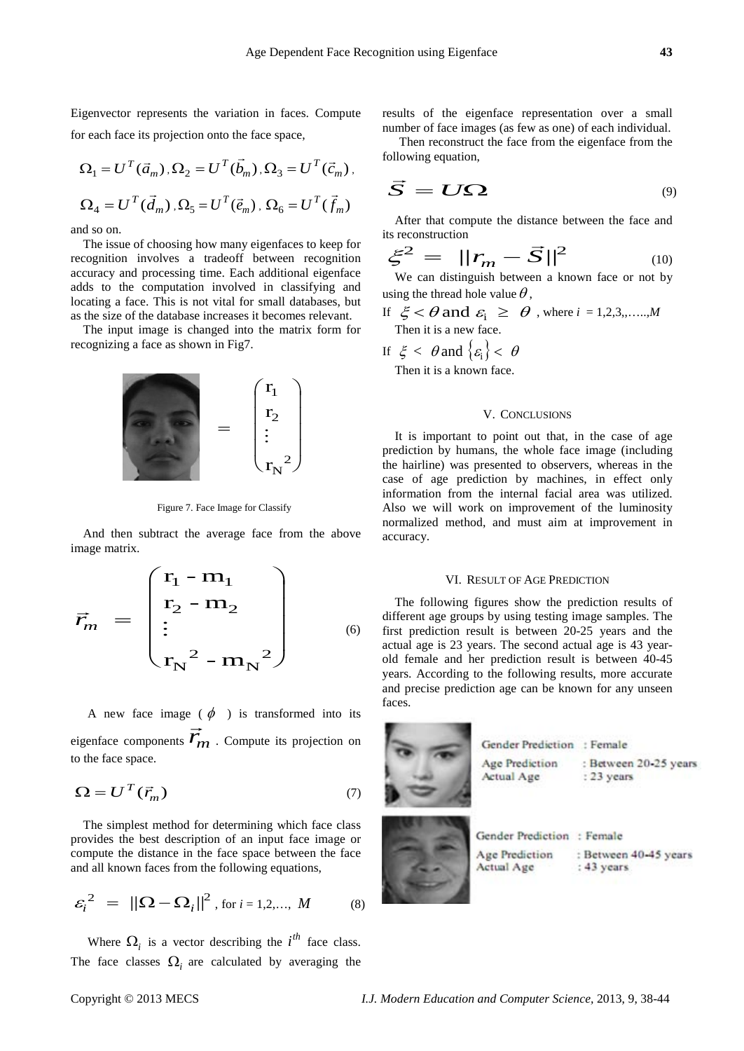Eigenvector represents the variation in faces. Compute for each face its projection onto the face space,

$$
\Omega_1 = U^T(\vec{a}_m), \Omega_2 = U^T(\vec{b}_m), \Omega_3 = U^T(\vec{c}_m),
$$
  

$$
\Omega_4 = U^T(\vec{d}_m), \Omega_5 = U^T(\vec{e}_m), \Omega_6 = U^T(\vec{f}_m)
$$

and so on.

The issue of choosing how many eigenfaces to keep for recognition involves a tradeoff between recognition accuracy and processing time. Each additional eigenface adds to the computation involved in classifying and locating a face. This is not vital for small databases, but as the size of the database increases it becomes relevant.

The input image is changed into the matrix form for recognizing a face as shown in Fig7.



Figure 7. Face Image for Classify

And then subtract the average face from the above image matrix.

$$
\vec{r}_m = \begin{pmatrix} r_1 - m_1 \\ r_2 - m_2 \\ \vdots \\ r_N^2 - m_N^2 \end{pmatrix}
$$
 (6)

A new face image ( $\phi$ ) is transformed into its eigenface components  $\overrightarrow{r}_m$ . Compute its projection on to the face space.

$$
\Omega = U^T(\vec{r}_m) \tag{7}
$$

The simplest method for determining which face class provides the best description of an input face image or compute the distance in the face space between the face and all known faces from the following equations,

$$
\varepsilon_i^2 = ||\Omega - \Omega_i||^2, \text{ for } i = 1, 2, ..., M
$$
 (8)

Where  $\Omega_i$  is a vector describing the *i*<sup>th</sup> face class. The face classes  $\Omega_i$  are calculated by averaging the

results of the eigenface representation over a small number of face images (as few as one) of each individual.

Then reconstruct the face from the eigenface from the following equation,

$$
\vec{S} = U\Omega \tag{9}
$$

After that compute the distance between the face and its reconstruction

$$
\xi^2 = ||r_m - \vec{S}||^2
$$
\n(10)

We can distinguish between a known face or not by using the thread hole value  $\theta$ ,

- If  $\xi < \theta$  and  $\varepsilon_i \ge \theta$ , where  $i = 1, 2, 3, \dots, M$ Then it is a new face.
- If  $\xi < \theta$  and  $\{\varepsilon_i\} < \theta$

Then it is a known face.

# V. CONCLUSIONS

It is important to point out that, in the case of age prediction by humans, the whole face image (including the hairline) was presented to observers, whereas in the case of age prediction by machines, in effect only information from the internal facial area was utilized. Also we will work on improvement of the luminosity normalized method, and must aim at improvement in accuracy.

#### VI. RESULT OF AGE PREDICTION

The following figures show the prediction results of different age groups by using testing image samples. The first prediction result is between 20-25 years and the actual age is 23 years. The second actual age is 43 yearold female and her prediction result is between 40-45 years. According to the following results, more accurate and precise prediction age can be known for any unseen faces.

|  | Gender Prediction : Female   |                                       |
|--|------------------------------|---------------------------------------|
|  | Age Prediction<br>Actual Age | : Between 20-25 years<br>$: 23$ years |
|  | Gender Prediction: Female    |                                       |
|  | Age Prediction<br>Actual Age | : Between 40-45 years<br>$: 43$ years |